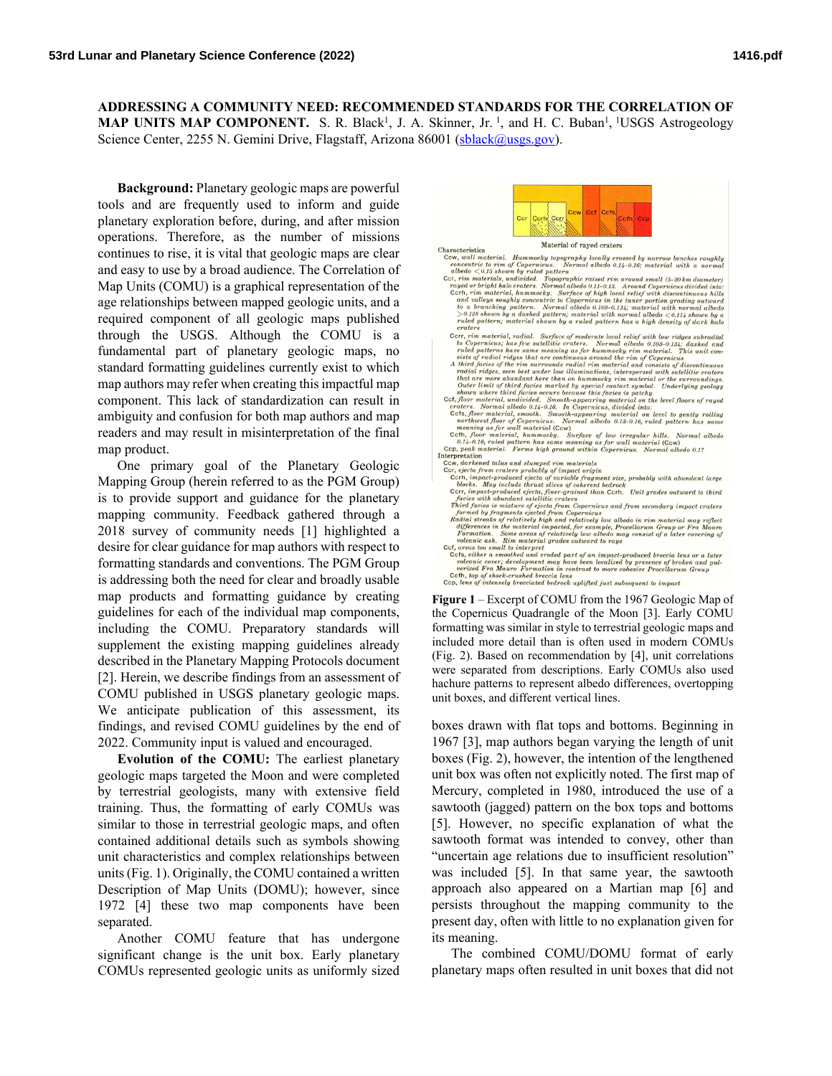## **ADDRESSING A COMMUNITY NEED: RECOMMENDED STANDARDS FOR THE CORRELATION OF MAP UNITS MAP COMPONENT.** S. R. Black<sup>1</sup>, J. A. Skinner, Jr.<sup>1</sup>, and H. C. Buban<sup>1</sup>, <sup>1</sup>USGS Astrogeology Science Center, 2255 N. Gemini Drive, Flagstaff, Arizona 86001 [\(sblack@usgs.gov\)](mailto:sblack@usgs.gov).

**Background:** Planetary geologic maps are powerful tools and are frequently used to inform and guide planetary exploration before, during, and after mission operations. Therefore, as the number of missions continues to rise, it is vital that geologic maps are clear and easy to use by a broad audience. The Correlation of Map Units (COMU) is a graphical representation of the age relationships between mapped geologic units, and a required component of all geologic maps published through the USGS. Although the COMU is a fundamental part of planetary geologic maps, no standard formatting guidelines currently exist to which map authors may refer when creating this impactful map component. This lack of standardization can result in ambiguity and confusion for both map authors and map readers and may result in misinterpretation of the final map product.

One primary goal of the Planetary Geologic Mapping Group (herein referred to as the PGM Group) is to provide support and guidance for the planetary mapping community. Feedback gathered through a 2018 survey of community needs [1] highlighted a desire for clear guidance for map authors with respect to formatting standards and conventions. The PGM Group is addressing both the need for clear and broadly usable map products and formatting guidance by creating guidelines for each of the individual map components, including the COMU. Preparatory standards will supplement the existing mapping guidelines already described in the Planetary Mapping Protocols document [2]. Herein, we describe findings from an assessment of COMU published in USGS planetary geologic maps. We anticipate publication of this assessment, its findings, and revised COMU guidelines by the end of 2022. Community input is valued and encouraged.

**Evolution of the COMU:** The earliest planetary geologic maps targeted the Moon and were completed by terrestrial geologists, many with extensive field training. Thus, the formatting of early COMUs was similar to those in terrestrial geologic maps, and often contained additional details such as symbols showing unit characteristics and complex relationships between units(Fig. 1). Originally, the COMU contained a written Description of Map Units (DOMU); however, since 1972 [4] these two map components have been separated.

Another COMU feature that has undergone significant change is the unit box. Early planetary COMUs represented geologic units as uniformly sized



 $\label{thm:main}$  Characteristics Material of rayed craters<br> $\begin{minipage}{0.9\textwidth} \begin{minipage}{0.9\textwidth} \begin{minipage}{0.9\textwidth} \begin{minipage}{0.9\textwidth} \begin{minipage}{0.9\textwidth} \begin{minipage}{0.9\textwidth} \begin{minipage}{0.9\textwidth} \begin{minipage}{0.9\textwidth} \begin{minipage}{0.9\textwidth} \begin{minipage}{0.9\textwidth} \begin{minipage}{0.9\textwidth} \begin{minipage}{0.9\textwidth$ Material of raved craters ruter putern, muterial shown by a ruted pattern nas a naph aensity of ark are creaters<br>
craters  $\alpha$  craters  $\alpha$  and  $\alpha$ . Surface of moderate local relief with low ridges subradial  $\alpha$  to Copernicus, has few stabilitie Cth, floor material, hummockyly. Surface of tow tregular nutse. Normal albedo 0.17<br>
CLC, peak material. Forms high ground within Copernicus. Normal albedo 0.17<br>
CCv, darkend talus and slumped rim materials<br>
Cert, ejecta f

the Copernicus Quadrangle of the Moon [3]. Early COMU formatting was similar in style to terrestrial geologic maps and included more detail than is often used in modern COMUs (Fig. 2). Based on recommendation by [4], unit correlations were separated from descriptions. Early COMUs also used hachure patterns to represent albedo differences, overtopping unit boxes, and different vertical lines.

boxes drawn with flat tops and bottoms. Beginning in 1967 [3], map authors began varying the length of unit boxes (Fig. 2), however, the intention of the lengthened unit box was often not explicitly noted. The first map of Mercury, completed in 1980, introduced the use of a sawtooth (jagged) pattern on the box tops and bottoms [5]. However, no specific explanation of what the sawtooth format was intended to convey, other than "uncertain age relations due to insufficient resolution" was included [5]. In that same year, the sawtooth approach also appeared on a Martian map [6] and persists throughout the mapping community to the present day, often with little to no explanation given for its meaning.

The combined COMU/DOMU format of early planetary maps often resulted in unit boxes that did not